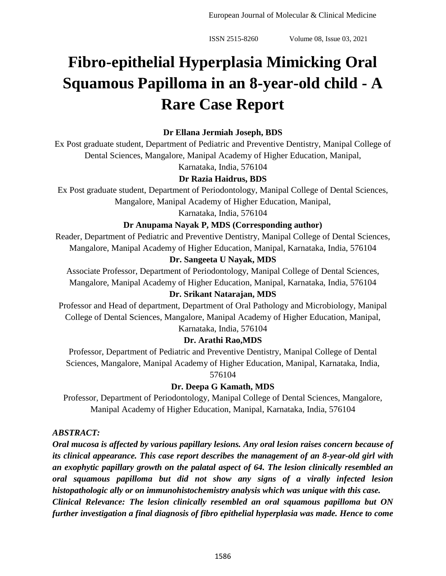# **Fibro-epithelial Hyperplasia Mimicking Oral Squamous Papilloma in an 8-year-old child - A Rare Case Report**

# **Dr Ellana Jermiah Joseph, BDS**

Ex Post graduate student, Department of Pediatric and Preventive Dentistry, Manipal College of Dental Sciences, Mangalore, Manipal Academy of Higher Education, Manipal,

Karnataka, India, 576104

# **Dr Razia Haidrus, BDS**

Ex Post graduate student, Department of Periodontology, Manipal College of Dental Sciences, Mangalore, Manipal Academy of Higher Education, Manipal,

Karnataka, India, 576104

## **Dr Anupama Nayak P, MDS (Corresponding author)**

Reader, Department of Pediatric and Preventive Dentistry, Manipal College of Dental Sciences, Mangalore, Manipal Academy of Higher Education, Manipal, Karnataka, India, 576104

## **Dr. Sangeeta U Nayak, MDS**

Associate Professor, Department of Periodontology, Manipal College of Dental Sciences, Mangalore, Manipal Academy of Higher Education, Manipal, Karnataka, India, 576104

## **Dr. Srikant Natarajan, MDS**

Professor and Head of department, Department of Oral Pathology and Microbiology, Manipal College of Dental Sciences, Mangalore, Manipal Academy of Higher Education, Manipal, Karnataka, India, 576104

# **Dr. Arathi Rao,MDS**

Professor, Department of Pediatric and Preventive Dentistry, Manipal College of Dental Sciences, Mangalore, Manipal Academy of Higher Education, Manipal, Karnataka, India, 576104

# **Dr. Deepa G Kamath, MDS**

Professor, Department of Periodontology, Manipal College of Dental Sciences, Mangalore, Manipal Academy of Higher Education, Manipal, Karnataka, India, 576104

## *ABSTRACT:*

*Oral mucosa is affected by various papillary lesions. Any oral lesion raises concern because of its clinical appearance. This case report describes the management of an 8-year-old girl with an exophytic papillary growth on the palatal aspect of 64. The lesion clinically resembled an oral squamous papilloma but did not show any signs of a virally infected lesion histopathologic ally or on immunohistochemistry analysis which was unique with this case. Clinical Relevance: The lesion clinically resembled an oral squamous papilloma but ON further investigation a final diagnosis of fibro epithelial hyperplasia was made. Hence to come*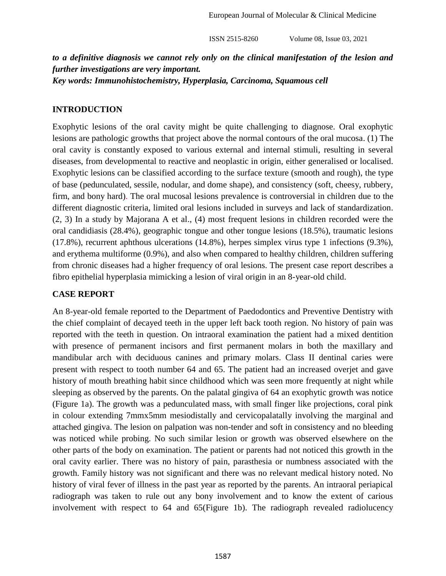*to a definitive diagnosis we cannot rely only on the clinical manifestation of the lesion and further investigations are very important. Key words: Immunohistochemistry, Hyperplasia, Carcinoma, Squamous cell*

#### **INTRODUCTION**

Exophytic lesions of the oral cavity might be quite challenging to diagnose. Oral exophytic lesions are pathologic growths that project above the normal contours of the oral mucosa. (1) The oral cavity is constantly exposed to various external and internal stimuli, resulting in several diseases, from developmental to reactive and neoplastic in origin, either generalised or localised. Exophytic lesions can be classified according to the surface texture (smooth and rough), the type of base (pedunculated, sessile, nodular, and dome shape), and consistency (soft, cheesy, rubbery, firm, and bony hard). The oral mucosal lesions prevalence is controversial in children due to the different diagnostic criteria, limited oral lesions included in surveys and lack of standardization. (2, 3) In a study by Majorana A et al., (4) most frequent lesions in children recorded were the oral candidiasis (28.4%), geographic tongue and other tongue lesions (18.5%), traumatic lesions (17.8%), recurrent aphthous ulcerations (14.8%), herpes simplex virus type 1 infections (9.3%), and erythema multiforme (0.9%), and also when compared to healthy children, children suffering from chronic diseases had a higher frequency of oral lesions. The present case report describes a fibro epithelial hyperplasia mimicking a lesion of viral origin in an 8-year-old child.

#### **CASE REPORT**

An 8-year-old female reported to the Department of Paedodontics and Preventive Dentistry with the chief complaint of decayed teeth in the upper left back tooth region. No history of pain was reported with the teeth in question. On intraoral examination the patient had a mixed dentition with presence of permanent incisors and first permanent molars in both the maxillary and mandibular arch with deciduous canines and primary molars. Class II dentinal caries were present with respect to tooth number 64 and 65. The patient had an increased overjet and gave history of mouth breathing habit since childhood which was seen more frequently at night while sleeping as observed by the parents. On the palatal gingiva of 64 an exophytic growth was notice (Figure 1a). The growth was a pedunculated mass, with small finger like projections, coral pink in colour extending 7mmx5mm mesiodistally and cervicopalatally involving the marginal and attached gingiva. The lesion on palpation was non-tender and soft in consistency and no bleeding was noticed while probing. No such similar lesion or growth was observed elsewhere on the other parts of the body on examination. The patient or parents had not noticed this growth in the oral cavity earlier. There was no history of pain, parasthesia or numbness associated with the growth. Family history was not significant and there was no relevant medical history noted. No history of viral fever of illness in the past year as reported by the parents. An intraoral periapical radiograph was taken to rule out any bony involvement and to know the extent of carious involvement with respect to 64 and 65(Figure 1b). The radiograph revealed radiolucency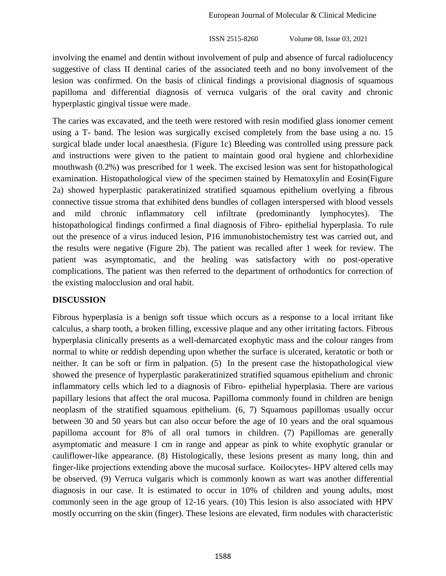involving the enamel and dentin without involvement of pulp and absence of furcal radiolucency suggestive of class II dentinal caries of the associated teeth and no bony involvement of the lesion was confirmed. On the basis of clinical findings a provisional diagnosis of squamous papilloma and differential diagnosis of verruca vulgaris of the oral cavity and chronic hyperplastic gingival tissue were made.

The caries was excavated, and the teeth were restored with resin modified glass ionomer cement using a T- band. The lesion was surgically excised completely from the base using a no. 15 surgical blade under local anaesthesia. (Figure 1c) Bleeding was controlled using pressure pack and instructions were given to the patient to maintain good oral hygiene and chlorhexidine mouthwash (0.2%) was prescribed for 1 week. The excised lesion was sent for histopathological examination. Histopathological view of the specimen stained by Hematoxylin and Eosin(Figure 2a) showed hyperplastic parakeratinized stratified squamous epithelium overlying a fibrous connective tissue stroma that exhibited dens bundles of collagen interspersed with blood vessels and mild chronic inflammatory cell infiltrate (predominantly lymphocytes). The histopathological findings confirmed a final diagnosis of Fibro- epithelial hyperplasia. To rule out the presence of a virus induced lesion, P16 immunohistochemistry test was carried out, and the results were negative (Figure 2b). The patient was recalled after 1 week for review. The patient was asymptomatic, and the healing was satisfactory with no post-operative complications. The patient was then referred to the department of orthodontics for correction of the existing malocclusion and oral habit.

## **DISCUSSION**

Fibrous hyperplasia is a benign soft tissue which occurs as a response to a local irritant like calculus, a sharp tooth, a broken filling, excessive plaque and any other irritating factors. Fibrous hyperplasia clinically presents as a well-demarcated exophytic mass and the colour ranges from normal to white or reddish depending upon whether the surface is ulcerated, keratotic or both or neither. It can be soft or firm in palpation. (5) In the present case the histopathological view showed the presence of hyperplastic parakeratinized stratified squamous epithelium and chronic inflammatory cells which led to a diagnosis of Fibro- epithelial hyperplasia. There are various papillary lesions that affect the oral mucosa. Papilloma commonly found in children are benign neoplasm of the stratified squamous epithelium. (6, 7) Squamous papillomas usually occur between 30 and 50 years but can also occur before the age of 10 years and the oral squamous papilloma account for 8% of all oral tumors in children. (7) Papillomas are generally asymptomatic and measure 1 cm in range and appear as pink to white exophytic granular or cauliflower-like appearance. (8) Histologically, these lesions present as many long, thin and finger-like projections extending above the mucosal surface. Koilocytes- HPV altered cells may be observed. (9) Verruca vulgaris which is commonly known as wart was another differential diagnosis in our case. It is estimated to occur in 10% of children and young adults, most commonly seen in the age group of 12-16 years. (10) This lesion is also associated with HPV mostly occurring on the skin (finger). These lesions are elevated, firm nodules with characteristic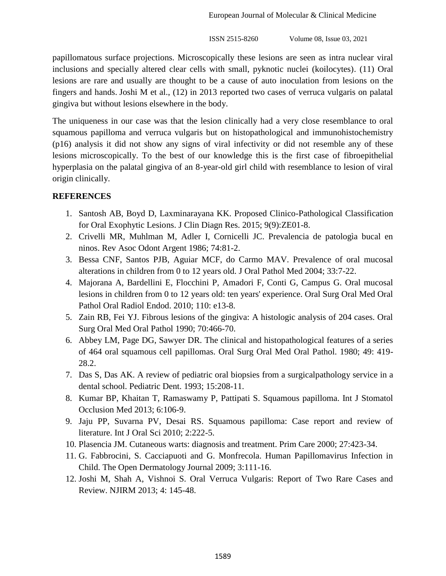papillomatous surface projections. Microscopically these lesions are seen as intra nuclear viral inclusions and specially altered clear cells with small, pyknotic nuclei (koilocytes). (11) Oral lesions are rare and usually are thought to be a cause of auto inoculation from lesions on the fingers and hands. Joshi M et al., (12) in 2013 reported two cases of verruca vulgaris on palatal gingiva but without lesions elsewhere in the body.

The uniqueness in our case was that the lesion clinically had a very close resemblance to oral squamous papilloma and verruca vulgaris but on histopathological and immunohistochemistry (p16) analysis it did not show any signs of viral infectivity or did not resemble any of these lesions microscopically. To the best of our knowledge this is the first case of fibroepithelial hyperplasia on the palatal gingiva of an 8-year-old girl child with resemblance to lesion of viral origin clinically.

## **REFERENCES**

- 1. Santosh AB, Boyd D, Laxminarayana KK. Proposed Clinico-Pathological Classification for Oral Exophytic Lesions. J Clin Diagn Res. 2015; 9(9):ZE01-8.
- 2. Crivelli MR, Muhlman M, Adler I, Cornicelli JC. Prevalencia de patologìa bucal en ninos. Rev Asoc Odont Argent 1986; 74:81-2.
- 3. Bessa CNF, Santos PJB, Aguiar MCF, do Carmo MAV. Prevalence of oral mucosal alterations in children from 0 to 12 years old. J Oral Pathol Med 2004; 33:7-22.
- 4. Majorana A, Bardellini E, Flocchini P, Amadori F, Conti G, Campus G. Oral mucosal lesions in children from 0 to 12 years old: ten years' experience. Oral Surg Oral Med Oral Pathol Oral Radiol Endod. 2010; 110: e13-8.
- 5. Zain RB, Fei YJ. Fibrous lesions of the gingiva: A histologic analysis of 204 cases. Oral Surg Oral Med Oral Pathol 1990; 70:466-70.
- 6. Abbey LM, Page DG, Sawyer DR. The clinical and histopathological features of a series of 464 oral squamous cell papillomas. Oral Surg Oral Med Oral Pathol. 1980; 49: 419- 28.2.
- 7. Das S, Das AK. A review of pediatric oral biopsies from a surgicalpathology service in a dental school. Pediatric Dent. 1993; 15:208-11.
- 8. Kumar BP, Khaitan T, Ramaswamy P, Pattipati S. Squamous papilloma. Int J Stomatol Occlusion Med 2013; 6:106-9.
- 9. Jaju PP, Suvarna PV, Desai RS. Squamous papilloma: Case report and review of literature. Int J Oral Sci 2010; 2:222-5.
- 10. Plasencia JM. Cutaneous warts: diagnosis and treatment. Prim Care 2000; 27:423-34.
- 11. G. Fabbrocini, S. Cacciapuoti and G. Monfrecola. Human Papillomavirus Infection in Child. The Open Dermatology Journal 2009; 3:111-16.
- 12. Joshi M, Shah A, Vishnoi S. Oral Verruca Vulgaris: Report of Two Rare Cases and Review. NJIRM 2013; 4: 145-48.